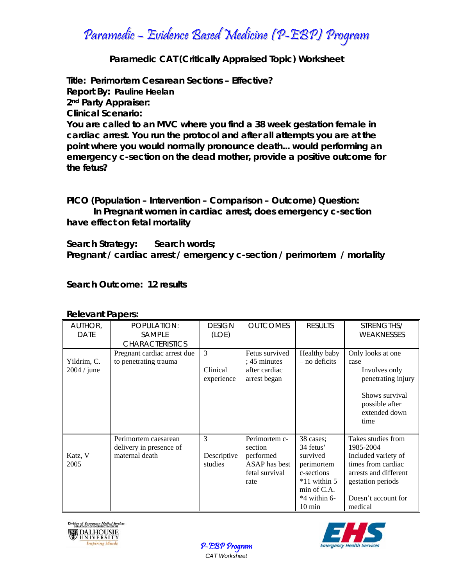# Paramedic – Evidence Based Medicine (P-EBP) Program

## **Paramedic CAT (Critically Appraised Topic) Worksheet**

**Title: Perimortem Cesarean Sections – Effective? Report By: Pauline Heelan 2nd Party Appraiser: Clinical Scenario: You are called to an MVC where you find a 38 week gestation female in cardiac arrest. You run the protocol and after all attempts you are at the point where you would normally pronounce death... would performing an emergency c-section on the dead mother, provide a positive outcome for the fetus?**

**PICO (Population – Intervention – Comparison – Outcome) Question: In Pregnant women in cardiac arrest, does emergency c-section have effect on fetal mortality** 

**Search Strategy: Search words; Pregnant / cardiac arrest / emergency c-section / perimortem / mortality** 

### **Search Outcome: 12 results**

| AUTHOR,<br><b>DATE</b>       | POPULATION:<br><b>SAMPLE</b><br><b>CHARACTERISTICS</b>            | <b>DESIGN</b><br>(LOE)      | <b>OUTCOMES</b>                                                                  | <b>RESULTS</b>                                                                                                                             | STRENGTHS/<br><b>WEAKNESSES</b>                                                                                                                              |
|------------------------------|-------------------------------------------------------------------|-----------------------------|----------------------------------------------------------------------------------|--------------------------------------------------------------------------------------------------------------------------------------------|--------------------------------------------------------------------------------------------------------------------------------------------------------------|
| Yildrim, C.<br>$2004 /$ june | Pregnant cardiac arrest due<br>to penetrating trauma              | 3<br>Clinical<br>experience | Fetus survived<br>; 45 minutes<br>after cardiac<br>arrest began                  | Healthy baby<br>$-$ no deficits                                                                                                            | Only looks at one<br>case<br>Involves only<br>penetrating injury<br>Shows survival<br>possible after<br>extended down<br>time                                |
| Katz, V<br>2005              | Perimortem caesarean<br>delivery in presence of<br>maternal death | 3<br>Descriptive<br>studies | Perimortem c-<br>section<br>performed<br>ASAP has best<br>fetal survival<br>rate | 38 cases;<br>34 fetus'<br>survived<br>perimortem<br>c-sections<br>$*11$ within 5<br>$min$ of $C.A$ .<br>$*4$ within 6-<br>$10 \text{ min}$ | Takes studies from<br>1985-2004<br>Included variety of<br>times from cardiac<br>arrests and different<br>gestation periods<br>Doesn't account for<br>medical |

#### **Relevant Papers:**





'-'EBP Program *CAT Worksheet*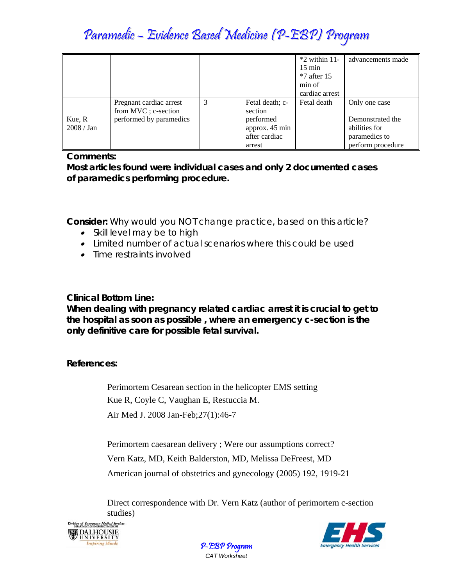# Paramedic – Evidence Based Medicine (P-EBP) Program

|            |                         |   |                 | $*2$ within 11-<br>$15 \text{ min}$<br>$*7$ after 15<br>min of<br>cardiac arrest | advancements made |
|------------|-------------------------|---|-----------------|----------------------------------------------------------------------------------|-------------------|
|            |                         |   |                 |                                                                                  |                   |
|            | Pregnant cardiac arrest | 3 | Fetal death; c- | Fetal death                                                                      | Only one case     |
|            | from MVC; c-section     |   | section         |                                                                                  |                   |
| Kue, R     | performed by paramedics |   | performed       |                                                                                  | Demonstrated the  |
| 2008 / Jan |                         |   | approx. 45 min  |                                                                                  | abilities for     |
|            |                         |   | after cardiac   |                                                                                  | paramedics to     |
|            |                         |   | arrest          |                                                                                  | perform procedure |

# **Comments:**

**Most articles found were individual cases and only 2 documented cases of paramedics performing procedure.** 

**Consider:** *Why would you NOT change practice, based on this article?* 

- *Skill level may be to high*
- *Limited number of actual scenarios where this could be used*
- *Time restraints involved*

**Clinical Bottom Line:** 

**When dealing with pregnancy related cardiac arrest it is crucial to get to the hospital as soon as possible , where an emergency c-section is the only definitive care for possible fetal survival.** 

**References:** 

Perimortem Cesarean section in the helicopter EMS setting Kue R, Coyle C, Vaughan E, Restuccia M. Air Med J. 2008 Jan-Feb;27(1):46-7

Perimortem caesarean delivery ; Were our assumptions correct? Vern Katz, MD, Keith Balderston, MD, Melissa DeFreest, MD American journal of obstetrics and gynecology (2005) 192, 1919-21

Direct correspondence with Dr. Vern Katz (author of perimortem c-section studies)





P-EBP Program *CAT Worksheet*